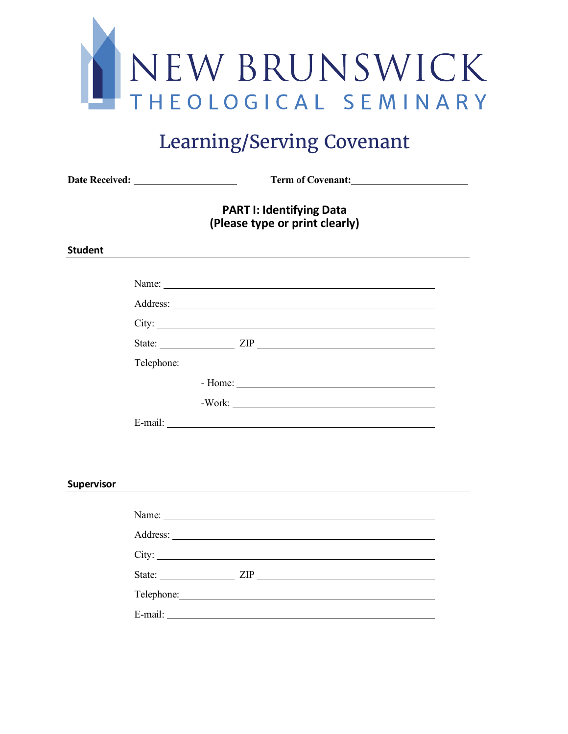

# Learning/Serving Covenant

**Date Received: Term of Covenant:** 

## **PART I: Identifying Data (Please type or print clearly)**

#### **Student**

|            |            | City:                                                                                                                                                                                                                                |
|------------|------------|--------------------------------------------------------------------------------------------------------------------------------------------------------------------------------------------------------------------------------------|
|            |            |                                                                                                                                                                                                                                      |
|            | Telephone: |                                                                                                                                                                                                                                      |
|            |            |                                                                                                                                                                                                                                      |
|            |            | $-Work:$                                                                                                                                                                                                                             |
|            |            |                                                                                                                                                                                                                                      |
|            |            |                                                                                                                                                                                                                                      |
|            |            |                                                                                                                                                                                                                                      |
| Supervisor |            |                                                                                                                                                                                                                                      |
|            |            |                                                                                                                                                                                                                                      |
|            |            |                                                                                                                                                                                                                                      |
|            |            | City:                                                                                                                                                                                                                                |
|            |            |                                                                                                                                                                                                                                      |
|            |            | Telephone: <u>contract and the contract of the contract of the contract of the contract of the contract of the contract of the contract of the contract of the contract of the contract of the contract of the contract of the c</u> |
|            | E-mail:    |                                                                                                                                                                                                                                      |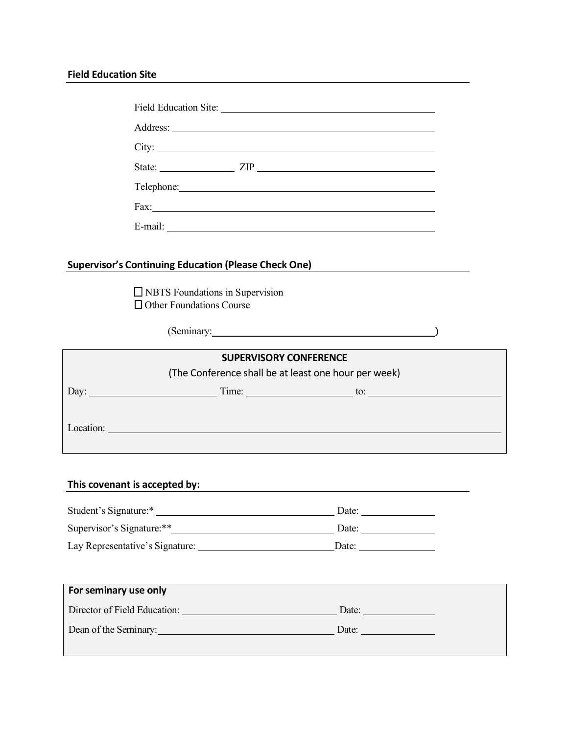#### **Field Education Site**

|                                                                    | City:                                                                                                                                                                                                                          |  |
|--------------------------------------------------------------------|--------------------------------------------------------------------------------------------------------------------------------------------------------------------------------------------------------------------------------|--|
|                                                                    |                                                                                                                                                                                                                                |  |
|                                                                    | Telephone: 2000 Contract Contract Contract Contract Contract Contract Contract Contract Contract Contract Contract Contract Contract Contract Contract Contract Contract Contract Contract Contract Contract Contract Contract |  |
|                                                                    |                                                                                                                                                                                                                                |  |
|                                                                    |                                                                                                                                                                                                                                |  |
|                                                                    |                                                                                                                                                                                                                                |  |
|                                                                    | Supervisor's Continuing Education (Please Check One)<br><u> and Check One</u>                                                                                                                                                  |  |
| $\Box$ NBTS Foundations in Supervision<br>Other Foundations Course |                                                                                                                                                                                                                                |  |
|                                                                    | (Seminary: 1997)                                                                                                                                                                                                               |  |
|                                                                    | <b>SUPERVISORY CONFERENCE</b>                                                                                                                                                                                                  |  |
|                                                                    | (The Conference shall be at least one hour per week)                                                                                                                                                                           |  |
|                                                                    | Day: $\qquad \qquad \text{Time:} \qquad \qquad \text{to:} \qquad$                                                                                                                                                              |  |
|                                                                    |                                                                                                                                                                                                                                |  |
|                                                                    | Location:                                                                                                                                                                                                                      |  |
|                                                                    |                                                                                                                                                                                                                                |  |
|                                                                    |                                                                                                                                                                                                                                |  |
| This covenant is accepted by:                                      |                                                                                                                                                                                                                                |  |

| Student's Signature:*           | Date: |
|---------------------------------|-------|
| Supervisor's Signature:**       | Date: |
| Lay Representative's Signature: | Date: |

| For seminary use only        |       |
|------------------------------|-------|
| Director of Field Education: | Date: |
| Dean of the Seminary:        | Date: |
|                              |       |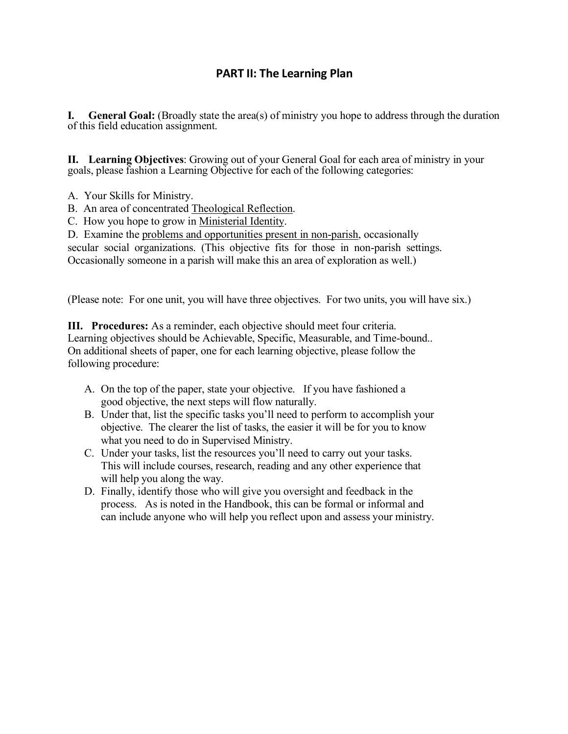## **PART II: The Learning Plan**

**I. General Goal:** (Broadly state the area(s) of ministry you hope to address through the duration of this field education assignment.

**II. Learning Objectives**: Growing out of your General Goal for each area of ministry in your goals, please fashion a Learning Objective for each of the following categories:

- A. Your Skills for Ministry.
- B. An area of concentrated Theological Reflection.
- C. How you hope to grow in Ministerial Identity.

D. Examine the problems and opportunities present in non-parish, occasionally

secular social organizations. (This objective fits for those in non-parish settings.

Occasionally someone in a parish will make this an area of exploration as well.)

(Please note: For one unit, you will have three objectives. For two units, you will have six.)

**III. Procedures:** As a reminder, each objective should meet four criteria. Learning objectives should be Achievable, Specific, Measurable, and Time-bound.. On additional sheets of paper, one for each learning objective, please follow the following procedure:

- A. On the top of the paper, state your objective. If you have fashioned a good objective, the next steps will flow naturally.
- B. Under that, list the specific tasks you'll need to perform to accomplish your objective. The clearer the list of tasks, the easier it will be for you to know what you need to do in Supervised Ministry.
- C. Under your tasks, list the resources you'll need to carry out your tasks. This will include courses, research, reading and any other experience that will help you along the way.
- D. Finally, identify those who will give you oversight and feedback in the process. As is noted in the Handbook, this can be formal or informal and can include anyone who will help you reflect upon and assess your ministry.